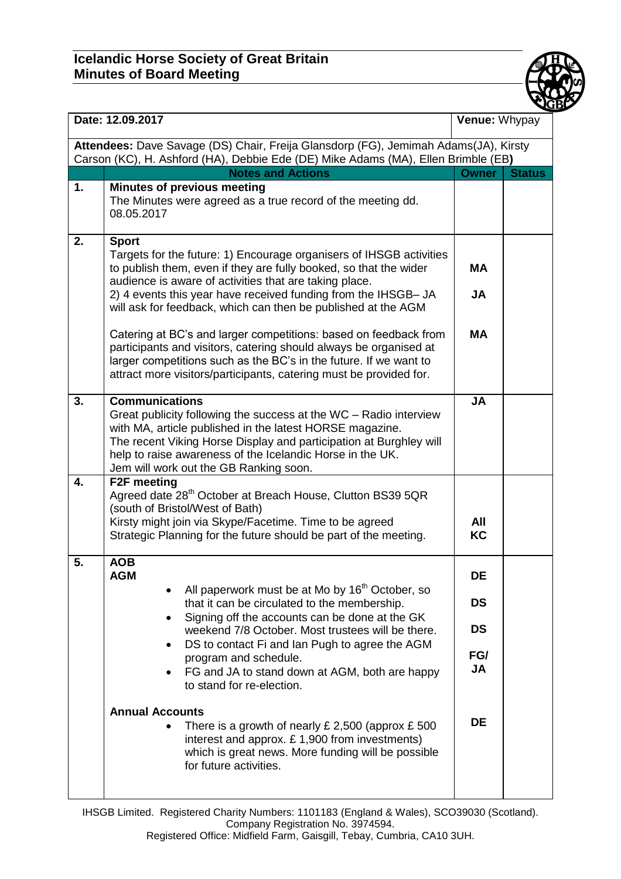

| Date: 12.09.2017                                                                                                                                                         |                                                                                                                                                                                                                                                                                                                                                                                                                                                                                                                                                                                                                                  | Venue: Whypay                                                 |               |  |  |
|--------------------------------------------------------------------------------------------------------------------------------------------------------------------------|----------------------------------------------------------------------------------------------------------------------------------------------------------------------------------------------------------------------------------------------------------------------------------------------------------------------------------------------------------------------------------------------------------------------------------------------------------------------------------------------------------------------------------------------------------------------------------------------------------------------------------|---------------------------------------------------------------|---------------|--|--|
| Attendees: Dave Savage (DS) Chair, Freija Glansdorp (FG), Jemimah Adams(JA), Kirsty<br>Carson (KC), H. Ashford (HA), Debbie Ede (DE) Mike Adams (MA), Ellen Brimble (EB) |                                                                                                                                                                                                                                                                                                                                                                                                                                                                                                                                                                                                                                  |                                                               |               |  |  |
|                                                                                                                                                                          | <b>Notes and Actions</b>                                                                                                                                                                                                                                                                                                                                                                                                                                                                                                                                                                                                         | <b>Owner</b>                                                  | <b>Status</b> |  |  |
| 1.                                                                                                                                                                       | <b>Minutes of previous meeting</b><br>The Minutes were agreed as a true record of the meeting dd.<br>08.05.2017                                                                                                                                                                                                                                                                                                                                                                                                                                                                                                                  |                                                               |               |  |  |
| 2.                                                                                                                                                                       | <b>Sport</b><br>Targets for the future: 1) Encourage organisers of IHSGB activities<br>to publish them, even if they are fully booked, so that the wider<br>audience is aware of activities that are taking place.<br>2) 4 events this year have received funding from the IHSGB- JA<br>will ask for feedback, which can then be published at the AGM<br>Catering at BC's and larger competitions: based on feedback from                                                                                                                                                                                                        | <b>MA</b><br><b>JA</b><br><b>MA</b>                           |               |  |  |
|                                                                                                                                                                          | participants and visitors, catering should always be organised at<br>larger competitions such as the BC's in the future. If we want to<br>attract more visitors/participants, catering must be provided for.                                                                                                                                                                                                                                                                                                                                                                                                                     |                                                               |               |  |  |
| 3.                                                                                                                                                                       | <b>Communications</b><br>Great publicity following the success at the WC - Radio interview<br>with MA, article published in the latest HORSE magazine.<br>The recent Viking Horse Display and participation at Burghley will<br>help to raise awareness of the Icelandic Horse in the UK.<br>Jem will work out the GB Ranking soon.                                                                                                                                                                                                                                                                                              | <b>JA</b>                                                     |               |  |  |
| 4.                                                                                                                                                                       | F2F meeting<br>Agreed date 28 <sup>th</sup> October at Breach House, Clutton BS39 5QR<br>(south of Bristol/West of Bath)<br>Kirsty might join via Skype/Facetime. Time to be agreed<br>Strategic Planning for the future should be part of the meeting.                                                                                                                                                                                                                                                                                                                                                                          | All<br>KC                                                     |               |  |  |
| 5.                                                                                                                                                                       | <b>AOB</b><br>AGM<br>All paperwork must be at Mo by 16 <sup>th</sup> October, so<br>that it can be circulated to the membership.<br>Signing off the accounts can be done at the GK<br>weekend 7/8 October. Most trustees will be there.<br>DS to contact Fi and Ian Pugh to agree the AGM<br>$\bullet$<br>program and schedule.<br>FG and JA to stand down at AGM, both are happy<br>$\bullet$<br>to stand for re-election.<br><b>Annual Accounts</b><br>There is a growth of nearly £ 2,500 (approx $£ 500$<br>$\bullet$<br>interest and approx. £1,900 from investments)<br>which is great news. More funding will be possible | DE<br><b>DS</b><br><b>DS</b><br>FG/<br><b>JA</b><br><b>DE</b> |               |  |  |
|                                                                                                                                                                          | for future activities.                                                                                                                                                                                                                                                                                                                                                                                                                                                                                                                                                                                                           |                                                               |               |  |  |

IHSGB Limited. Registered Charity Numbers: 1101183 (England & Wales), SCO39030 (Scotland). Company Registration No. 3974594.

Registered Office: Midfield Farm, Gaisgill, Tebay, Cumbria, CA10 3UH.